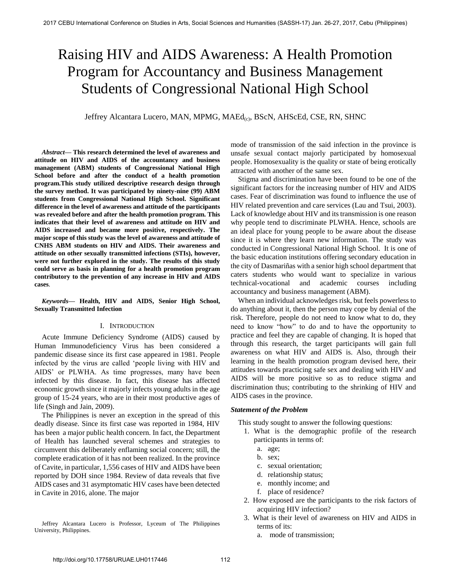# Raising HIV and AIDS Awareness: A Health Promotion Program for Accountancy and Business Management Students of Congressional National High School

Jeffrey Alcantara Lucero, MAN, MPMG, MAEd(c), BScN, AHScEd, CSE, RN, SHNC

*Abstract***— This research determined the level of awareness and attitude on HIV and AIDS of the accountancy and business management (ABM) students of Congressional National High School before and after the conduct of a health promotion program.This study utilized descriptive research design through the survey method. It was participated by ninety-nine (99) ABM students from Congressional National High School. Significant difference in the level of awareness and attitude of the participants was revealed before and after the health promotion program. This indicates that their level of awareness and attitude on HIV and AIDS increased and became more positive, respectively. The major scope of this study was the level of awareness and attitude of CNHS ABM students on HIV and AIDS. Their awareness and attitude on other sexually transmitted infections (STIs), however, were not further explored in the study. The results of this study could serve as basis in planning for a health promotion program contributory to the prevention of any increase in HIV and AIDS cases**.

*Keywords***— Health, HIV and AIDS, Senior High School, Sexually Transmitted Infection** 

#### I. INTRODUCTION

Acute Immune Deficiency Syndrome (AIDS) caused by Human Immunodeficiency Virus has been considered a pandemic disease since its first case appeared in 1981. People infected by the virus are called 'people living with HIV and AIDS' or PLWHA. As time progresses, many have been infected by this disease. In fact, this disease has affected economic growth since it majorly infects young adults in the age group of 15-24 years, who are in their most productive ages of life (Singh and Jain, 2009).

The Philippines is never an exception in the spread of this deadly disease. Since its first case was reported in 1984, HIV has been a major public health concern. In fact, the Department of Health has launched several schemes and strategies to circumvent this deliberately enflaming social concern; still, the complete eradication of it has not been realized. In the province of Cavite, in particular, 1,556 cases of HIV and AIDS have been reported by DOH since 1984. Review of data reveals that five AIDS cases and 31 asymptomatic HIV cases have been detected in Cavite in 2016, alone. The major

Jeffrey Alcantara Lucero is Professor, Lyceum of The Philippines University, Philippines.

mode of transmission of the said infection in the province is unsafe sexual contact majorly participated by homosexual people. Homosexuality is the quality or state of being erotically attracted with another of the same sex.

Stigma and discrimination have been found to be one of the significant factors for the increasing number of HIV and AIDS cases. Fear of discrimination was found to influence the use of HIV related prevention and care services (Lau and Tsui, 2003). Lack of knowledge about HIV and its transmission is one reason why people tend to discriminate PLWHA. Hence, schools are an ideal place for young people to be aware about the disease since it is where they learn new information. The study was conducted in Congressional National High School. It is one of the basic education institutions offering secondary education in the city of Dasmariñas with a senior high school department that caters students who would want to specialize in various technical-vocational and academic courses including accountancy and business management (ABM).

When an individual acknowledges risk, but feels powerless to do anything about it, then the person may cope by denial of the risk. Therefore, people do not need to know what to do, they need to know "how" to do and to have the opportunity to practice and feel they are capable of changing. It is hoped that through this research, the target participants will gain full awareness on what HIV and AIDS is. Also, through their learning in the health promotion program devised here, their attitudes towards practicing safe sex and dealing with HIV and AIDS will be more positive so as to reduce stigma and discrimination thus; contributing to the shrinking of HIV and AIDS cases in the province.

#### *Statement of the Problem*

This study sought to answer the following questions:

- 1. What is the demographic profile of the research participants in terms of:
	- a. age;
	- b. sex;
	- c. sexual orientation;
	- d. relationship status;
	- e. monthly income; and
	- f. place of residence?
- 2. How exposed are the participants to the risk factors of acquiring HIV infection?
- 3. What is their level of awareness on HIV and AIDS in terms of its:
	- a. mode of transmission;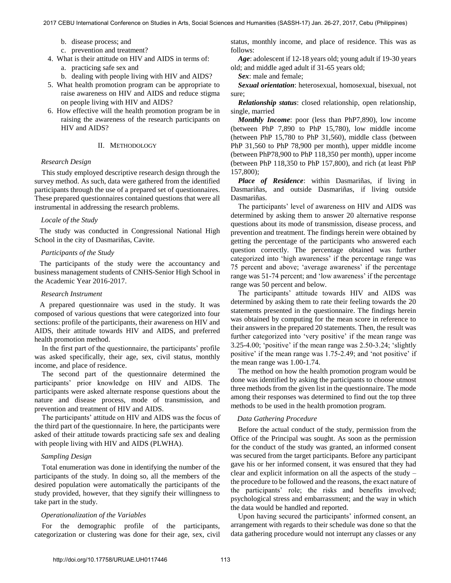- b. disease process; and
- c. prevention and treatment?
- 4. What is their attitude on HIV and AIDS in terms of:
	- a. practicing safe sex and
	- b. dealing with people living with HIV and AIDS?
- 5. What health promotion program can be appropriate to raise awareness on HIV and AIDS and reduce stigma on people living with HIV and AIDS?
- 6. How effective will the health promotion program be in raising the awareness of the research participants on HIV and AIDS?

## II. METHODOLOGY

# *Research Design*

This study employed descriptive research design through the survey method. As such, data were gathered from the identified participants through the use of a prepared set of questionnaires. These prepared questionnaires contained questions that were all instrumental in addressing the research problems.

#### *Locale of the Study*

The study was conducted in Congressional National High School in the city of Dasmariñas, Cavite.

#### *Participants of the Study*

The participants of the study were the accountancy and business management students of CNHS-Senior High School in the Academic Year 2016-2017.

#### *Research Instrument*

A prepared questionnaire was used in the study. It was composed of various questions that were categorized into four sections: profile of the participants, their awareness on HIV and AIDS, their attitude towards HIV and AIDS, and preferred health promotion method.

In the first part of the questionnaire, the participants' profile was asked specifically, their age, sex, civil status, monthly income, and place of residence.

 The second part of the questionnaire determined the participants' prior knowledge on HIV and AIDS. The participants were asked alternate response questions about the nature and disease process, mode of transmission, and prevention and treatment of HIV and AIDS.

The participants' attitude on HIV and AIDS was the focus of the third part of the questionnaire. In here, the participants were asked of their attitude towards practicing safe sex and dealing with people living with HIV and AIDS (PLWHA).

# *Sampling Design*

Total enumeration was done in identifying the number of the participants of the study. In doing so, all the members of the desired population were automatically the participants of the study provided, however, that they signify their willingness to take part in the study.

## *Operationalization of the Variables*

For the demographic profile of the participants, categorization or clustering was done for their age, sex, civil status, monthly income, and place of residence. This was as follows:

*Age*: adolescent if 12-18 years old; young adult if 19-30 years old; and middle aged adult if 31-65 years old;

*Sex*: male and female;

*Sexual orientation*: heterosexual, homosexual, bisexual, not sure:

*Relationship status*: closed relationship, open relationship, single, married

*Monthly Income*: poor (less than PhP7,890), low income (between PhP 7,890 to PhP 15,780), low middle income (hetween PhP 15,780 to PhP 31,560), middle class (between PhP 31,560 to PhP 78,900 per month), upper middle income (between PhP78,900 to PhP 118,350 per month), upper income (between PhP 118,350 to PhP 157,800), and rich (at least PhP 157,800);

*Place of Residence*: within Dasmariñas, if living in Dasmariñas, and outside Dasmariñas, if living outside Dasmariñas.

The participants' level of awareness on HIV and AIDS was determined by asking them to answer 20 alternative response questions about its mode of transmission, disease process, and prevention and treatment. The findings herein were obtained by getting the percentage of the participants who answered each question correctly. The percentage obtained was further categorized into 'high awareness' if the percentage range was 75 percent and above; 'average awareness' if the percentage range was 51-74 percent; and 'low awareness' if the percentage range was 50 percent and below.

The participants' attitude towards HIV and AIDS was determined by asking them to rate their feeling towards the 20 statements presented in the questionnaire. The findings herein was obtained by computing for the mean score in reference to their answers in the prepared 20 statements. Then, the result was further categorized into 'very positive' if the mean range was 3.25-4.00; 'positive' if the mean range was 2.50-3.24; 'slightly positive' if the mean range was 1.75-2.49; and 'not positive' if the mean range was 1.00-1.74.

The method on how the health promotion program would be done was identified by asking the participants to choose utmost three methods from the given list in the questionnaire. The mode among their responses was determined to find out the top three methods to be used in the health promotion program.

#### *Data Gathering Procedure*

Before the actual conduct of the study, permission from the Office of the Principal was sought. As soon as the permission for the conduct of the study was granted, an informed consent was secured from the target participants. Before any participant gave his or her informed consent, it was ensured that they had clear and explicit information on all the aspects of the study – the procedure to be followed and the reasons, the exact nature of the participants' role; the risks and benefits involved; psychological stress and embarrassment; and the way in which the data would be handled and reported.

Upon having secured the participants' informed consent, an arrangement with regards to their schedule was done so that the data gathering procedure would not interrupt any classes or any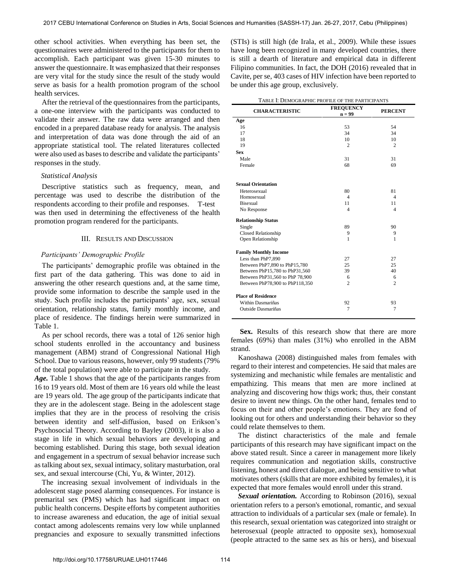other school activities. When everything has been set, the questionnaires were administered to the participants for them to accomplish. Each participant was given 15-30 minutes to answer the questionnaire. It was emphasized that their responses are very vital for the study since the result of the study would serve as basis for a health promotion program of the school health services.

 After the retrieval of the questionnaires from the participants, a one-one interview with the participants was conducted to validate their answer. The raw data were arranged and then encoded in a prepared database ready for analysis. The analysis and interpretation of data was done through the aid of an appropriate statistical tool. The related literatures collected were also used as bases to describe and validate the participants' responses in the study.

### *Statistical Analysis*

Descriptive statistics such as frequency, mean, and percentage was used to describe the distribution of the respondents according to their profile and responses. T-test was then used in determining the effectiveness of the health promotion program rendered for the participants.

# III. RESULTS AND DISCUSSION

# *Participants' Demographic Profile*

The participants' demographic profile was obtained in the first part of the data gathering. This was done to aid in answering the other research questions and, at the same time, provide some information to describe the sample used in the study. Such profile includes the participants' age, sex, sexual orientation, relationship status, family monthly income, and place of residence. The findings herein were summarized in Table 1.

As per school records, there was a total of 126 senior high school students enrolled in the accountancy and business management (ABM) strand of Congressional National High School. Due to various reasons, however, only 99 students (79% of the total population) were able to participate in the study.

*Age.* Table 1 shows that the age of the participants ranges from 16 to 19 years old. Most of them are 16 years old while the least are 19 years old. The age group of the participants indicate that they are in the adolescent stage. Being in the adolescent stage implies that they are in the process of resolving the crisis between identity and self-diffusion, based on Erikson's Psychosocial Theory. According to Bayley (2003), it is also a stage in life in which sexual behaviors are developing and becoming established. During this stage, both sexual ideation and engagement in a spectrum of sexual behavior increase such as talking about sex, sexual intimacy, solitary masturbation, oral sex, and sexual intercourse (Chi, Yu, & Winter, 2012).

The increasing sexual involvement of individuals in the adolescent stage posed alarming consequences. For instance is premarital sex (PMS) which has had significant impact on public health concerns. Despite efforts by competent authorities to increase awareness and education, the age of initial sexual contact among adolescents remains very low while unplanned pregnancies and exposure to sexually transmitted infections

(STIs) is still high (de Irala, et al., 2009). While these issues have long been recognized in many developed countries, there is still a dearth of literature and empirical data in different Filipino communities. In fact, the DOH (2016) revealed that in Cavite, per se, 403 cases of HIV infection have been reported to be under this age group, exclusively.

| <b>CHARACTERISTIC</b>           | <b>FREQUENCY</b><br>$n = 99$ | <b>PERCENT</b> |  |
|---------------------------------|------------------------------|----------------|--|
| Age                             |                              |                |  |
| 16                              | 53                           | 54             |  |
| 17                              | 34                           | 34             |  |
| 18                              | 10                           | 10             |  |
| 19                              | $\overline{2}$               | $\overline{2}$ |  |
| <b>Sex</b>                      |                              |                |  |
| Male                            | 31                           | 31             |  |
| Female                          | 68                           | 69             |  |
| <b>Sexual Orientation</b>       |                              |                |  |
| Heterosexual                    | 80                           | 81             |  |
| Homosexual                      | $\overline{4}$               | $\overline{4}$ |  |
| <b>Bisexual</b>                 | 11                           | 11             |  |
| No Response                     | $\overline{4}$               | $\overline{4}$ |  |
| <b>Relationship Status</b>      |                              |                |  |
| Single                          | 89                           | 90             |  |
| <b>Closed Relationship</b>      | 9                            | 9              |  |
| Open Relationship               | 1                            | 1              |  |
| <b>Family Monthly Income</b>    |                              |                |  |
| Less than PhP7,890              | 27                           | 27             |  |
| Between PhP7,890 to PhP15,780   | 25                           | 25             |  |
| Between PhP15,780 to PhP31,560  | 39                           | 40             |  |
| Between PhP31,560 to PhP 78,900 | 6                            | 6              |  |
| Between PhP78,900 to PhP118,350 | $\overline{2}$               | $\overline{c}$ |  |
| <b>Place of Residence</b>       |                              |                |  |
| Within Dasmariñas               | 92                           | 93             |  |
| Outside Dasmariñas              | 7                            | 7              |  |
|                                 |                              |                |  |

Sex. Results of this research show that there are more females (69%) than males (31%) who enrolled in the ABM strand.

Kanoshawa (2008) distinguished males from females with regard to their interest and competencies. He said that males are systemizing and mechanistic while females are mentalistic and empathizing. This means that men are more inclined at analyzing and discovering how thigs work; thus, their constant desire to invent new things. On the other hand, females tend to focus on their and other people's emotions. They are fond of looking out for others and understanding their behavior so they could relate themselves to them.

The distinct characteristics of the male and female participants of this research may have significant impact on the above stated result. Since a career in management more likely requires communication and negotiation skills, constructive listening, honest and direct dialogue, and being sensitive to what motivates others (skills that are more exhibited by females), it is expected that more females would enroll under this strand.

*Sexual orientation.* According to Robinson (2016), sexual orientation refers to a person's emotional, romantic, and sexual attraction to individuals of a particular sex (male or female). In this research, sexual orientation was categorized into straight or heterosexual (people attracted to opposite sex), homosexual (people attracted to the same sex as his or hers), and bisexual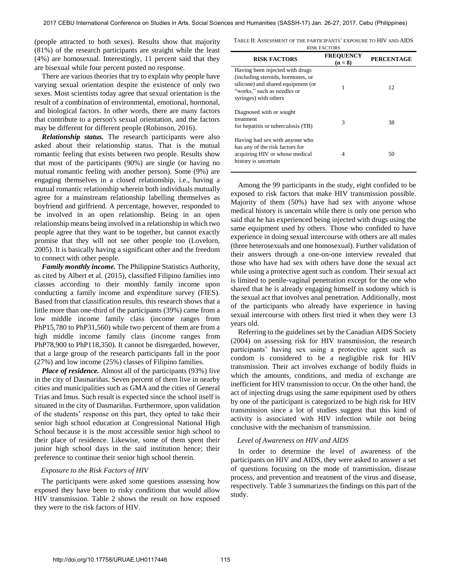(people attracted to both sexes). Results show that majority (81%) of the research participants are straight while the least (4%) are homosexual. Interestingly, 11 percent said that they are bisexual while four percent posted no response.

There are various theories that try to explain why people have varying sexual orientation despite the existence of only two sexes. Most scientists today agree that sexual orientation is the result of a combination of environmental, emotional, hormonal, and biological factors. In other words, there are many factors that contribute to a person's sexual orientation, and the factors may be different for different people (Robinson, 2016).

*Relationship status.* The research participants were also asked about their relationship status. That is the mutual romantic feeling that exists between two people. Results show that most of the participants (90%) are single (or having no mutual romantic feeling with another person). Some (9%) are engaging themselves in a closed relationship, i.e., having a mutual romantic relationship wherein both individuals mutually agree for a mainstream relationship labelling themselves as boyfriend and girlfriend. A percentage, however, responded to be involved in an open relationship. Being in an open relationship means being involved in a relationship in which two people agree that they want to be together, but cannot exactly promise that they will not see other people too (Lovelorn, 2005). It is basically having a significant other and the freedom to connect with other people.

*Family monthly income.* The Philippine Statistics Authority, as cited by Albert et al. (2015), classified Filipino families into classes according to their monthly family income upon conducting a family income and expenditure survey (FIES). Based from that classification results, this research shows that a little more than one-third of the participants (39%) came from a low middle income family class (income ranges from PhP15,780 to PhP31,560) while two percent of them are from a high middle income family class (income ranges from PhP78,900 to PhP118,350). It cannot be disregarded, however, that a large group of the research participants fall in the poor (27%) and low income (25%) classes of Filipino families.

*Place of residence.* Almost all of the participants (93%) live in the city of Dasmariñas. Seven percent of them live in nearby cities and municipalities such as GMA and the cities of General Trias and Imus. Such result is expected since the school itself is situated in the city of Dasmariñas. Furthermore, upon validation of the students' response on this part, they opted to take their senior high school education at Congressional National High School because it is the most accessible senior high school to their place of residence. Likewise, some of them spent their junior high school days in the said institution hence; their preference to continue their senior high school therein.

# *Exposure to the Risk Factors of HIV*

The participants were asked some questions assessing how exposed they have been to risky conditions that would allow HIV transmission. Table 2 shows the result on how exposed they were to the risk factors of HIV.

TABLE II: ASSESSMENT OF THE PARTICIPANTS' EXPOSURE TO HIV AND AIDS

| <b>RISK FACTORS</b>                                                                                                                                                |                             |                   |  |
|--------------------------------------------------------------------------------------------------------------------------------------------------------------------|-----------------------------|-------------------|--|
| <b>RISK FACTORS</b>                                                                                                                                                | <b>FREQUENCY</b><br>$(n=8)$ | <b>PERCENTAGE</b> |  |
| Having been injected with drugs<br>(including steroids, hormones, or<br>silicone) and shared equipment (or<br>"works," such as needles or<br>syringes) with others | 1                           | 12                |  |
| Diagnosed with or sought<br>treatment<br>for hepatitis or tuberculosis (TB)                                                                                        | 3                           | 38                |  |
| Having had sex with anyone who<br>has any of the risk factors for<br>acquiring HIV or whose medical<br>history is uncertain                                        | 4                           | 50                |  |

Among the 99 participants in the study, eight confided to be exposed to risk factors that make HIV transmission possible. Majority of them (50%) have had sex with anyone whose medical history is uncertain while there is only one person who said that he has experienced being injected with drugs using the same equipment used by others. Those who confided to have experience in doing sexual intercourse with others are all males (three heterosexuals and one homosexual). Further validation of their answers through a one-on-one interview revealed that those who have had sex with others have done the sexual act while using a protective agent such as condom. Their sexual act is limited to penile-vaginal penetration except for the one who shared that he is already engaging himself in sodomy which is the sexual act that involves anal penetration. Additionally, most of the participants who already have experience in having sexual intercourse with others first tried it when they were 13 years old.

 Referring to the guidelines set by the Canadian AIDS Society (2004) on assessing risk for HIV transmission, the research participants' having sex using a protective agent such as condom is considered to be a negligible risk for HIV transmission. Their act involves exchange of bodily fluids in which the amounts, conditions, and media of exchange are inefficient for HIV transmission to occur. On the other hand, the act of injecting drugs using the same equipment used by others by one of the participant is categorized to be high risk for HIV transmission since a lot of studies suggest that this kind of activity is associated with HIV infection while not being conclusive with the mechanism of transmission.

## *Level of Awareness on HIV and AIDS*

In order to determine the level of awareness of the participants on HIV and AIDS, they were asked to answer a set of questions focusing on the mode of transmission, disease process, and prevention and treatment of the virus and disease, respectively. Table 3 summarizes the findings on this part of the study.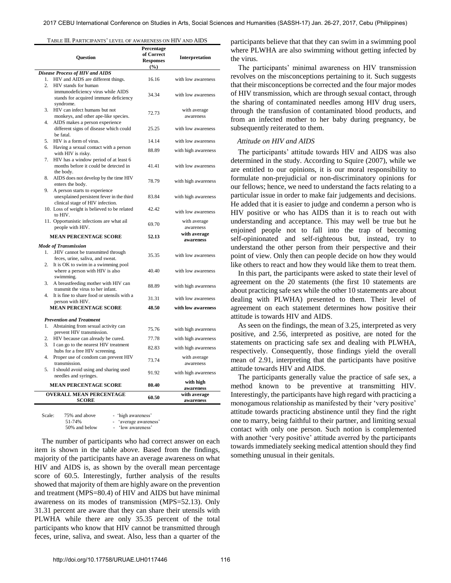TABLE III. PARTICIPANTS' LEVEL OF AWARENESS ON HIV AND AIDS

| Question               |                                                                                                                | Percentage<br>of Correct<br><b>Responses</b><br>(%) | Interpretation            |  |
|------------------------|----------------------------------------------------------------------------------------------------------------|-----------------------------------------------------|---------------------------|--|
|                        | Disease Process of HIV and AIDS                                                                                |                                                     |                           |  |
| 1.<br>$\overline{2}$ . | HIV and AIDS are different things.<br>HIV stands for human                                                     | 16.16                                               | with low awareness        |  |
|                        | immunodeficiency virus while AIDS<br>stands for acquired immune deficiency<br>syndrome.                        | 34.34                                               | with low awareness        |  |
| 3.<br>4.               | HIV can infect humans but not<br>monkeys, and other ape-like species.                                          | 72.73                                               | with average<br>awareness |  |
|                        | AIDS makes a person experience<br>different signs of disease which could<br>be fatal.                          | 25.25                                               | with low awareness        |  |
| 5.                     | HIV is a form of virus.                                                                                        | 14.14                                               | with low awareness        |  |
| 6.                     | Having a sexual contact with a person<br>with HIV is risky.                                                    | 88.89                                               | with high awareness       |  |
| 7.                     | HIV has a window period of at least 6<br>months before it could be detected in<br>the body.                    | 41.41                                               | with low awareness        |  |
| 8.                     | AIDS does not develop by the time HIV<br>enters the body.                                                      | 78.79                                               | with high awareness       |  |
| 9.                     | A person starts to experience<br>unexplained persistent fever in the third<br>clinical stage of HIV infection. | 83.84                                               | with high awareness       |  |
|                        | 10. Loss of weight is believed to be related<br>to HIV.                                                        | 42.42                                               | with low awareness        |  |
|                        | 11. Opportunistic infections are what ail<br>people with HIV.                                                  | 69.70                                               | with average<br>awareness |  |
|                        | <b>MEAN PERCENTAGE SCORE</b>                                                                                   | 52.13                                               | with average<br>awareness |  |
|                        | <b>Mode of Transmission</b>                                                                                    |                                                     |                           |  |
| 1.                     | .HIV cannot be transmitted through<br>feces, urine, saliva, and sweat.                                         | 35.35                                               | with low awareness        |  |
| 2.                     | It is OK to swim in a swimming pool<br>where a person with HIV is also<br>swimming.                            | 40.40                                               | with low awareness        |  |
| 3.                     | A breastfeeding mother with HIV can<br>transmit the virus to her infant.                                       | 88.89                                               | with high awareness       |  |
| 4.                     | It is fine to share food or utensils with a<br>person with HIV.                                                | 31.31                                               | with low awareness        |  |
|                        | <b>MEAN PERCENTAGE SCORE</b>                                                                                   | 48.50                                               | with low awareness        |  |
|                        | <b>Prevention and Treatment</b>                                                                                |                                                     |                           |  |
| 1.                     | Abstaining from sexual activity can<br>prevent HIV transmission.                                               | 75.76                                               | with high awareness       |  |
| 2.                     | HIV because can already be cured.                                                                              | 77.78                                               | with high awareness       |  |
| 3.                     | I can go to the nearest HIV treatment<br>hubs for a free HIV screening.                                        | 82.83                                               | with high awareness       |  |
| 4.                     | Proper use of condom can prevent HIV<br>transmission.                                                          | 73.74                                               | with average<br>awareness |  |
| 5.                     | I should avoid using and sharing used<br>needles and syringes.                                                 | 91.92                                               | with high awareness       |  |
|                        | <b>MEAN PERCENTAGE SCORE</b>                                                                                   | 80.40                                               | with high<br>awareness    |  |
|                        | <b>OVERALL MEAN PERCENTAGE</b><br><b>SCORE</b>                                                                 | 60.50                                               | with average<br>awareness |  |
|                        |                                                                                                                |                                                     |                           |  |

| Scale: | 75% and above | - 'high awareness'    |
|--------|---------------|-----------------------|
|        | 51-74%        | - 'average awareness' |
|        | 50% and below | - 'low awareness'     |

The number of participants who had correct answer on each item is shown in the table above. Based from the findings, majority of the participants have an average awareness on what HIV and AIDS is, as shown by the overall mean percentage score of 60.5. Interestingly, further analysis of the results showed that majority of them are highly aware on the prevention and treatment (MPS=80.4) of HIV and AIDS but have minimal awareness on its modes of transmission (MPS=52.13). Only 31.31 percent are aware that they can share their utensils with PLWHA while there are only 35.35 percent of the total participants who know that HIV cannot be transmitted through feces, urine, saliva, and sweat. Also, less than a quarter of the

participants believe that that they can swim in a swimming pool where PLWHA are also swimming without getting infected by the virus.

The participants' minimal awareness on HIV transmission revolves on the misconceptions pertaining to it. Such suggests that their misconceptions be corrected and the four major modes of HIV transmission, which are through sexual contact, through the sharing of contaminated needles among HIV drug users, through the transfusion of contaminated blood products, and from an infected mother to her baby during pregnancy, be subsequently reiterated to them.

## *Attitude on HIV and AIDS*

The participants' attitude towards HIV and AIDS was also determined in the study. According to Squire (2007), while we are entitled to our opinions, it is our moral responsibility to formulate non-prejudicial or non-discriminatory opinions for our fellows; hence, we need to understand the facts relating to a particular issue in order to make fair judgements and decisions. He added that it is easier to judge and condemn a person who is HIV positive or who has AIDS than it is to reach out with understanding and acceptance. This may well be true but he enjoined people not to fall into the trap of becoming self-opinionated and self-righteous but, instead, try to understand the other person from their perspective and their point of view. Only then can people decide on how they would like others to react and how they would like them to treat them.

In this part, the participants were asked to state their level of agreement on the 20 statements (the first 10 statements are about practicing safe sex while the other 10 statements are about dealing with PLWHA) presented to them. Their level of agreement on each statement determines how positive their attitude is towards HIV and AIDS.

As seen on the findings, the mean of 3.25, interpreted as very positive, and 2.56, interpreted as positive, are noted for the statements on practicing safe sex and dealing with PLWHA, respectively. Consequently, those findings yield the overall mean of 2.91, interpreting that the participants have positive attitude towards HIV and AIDS.

The participants generally value the practice of safe sex, a method known to be preventive at transmitting HIV. Interestingly, the participants have high regard with practicing a monogamous relationship as manifested by their 'very positive' attitude towards practicing abstinence until they find the right one to marry, being faithful to their partner, and limiting sexual contact with only one person. Such notion is complemented with another 'very positive' attitude averred by the participants towards immediately seeking medical attention should they find something unusual in their genitals.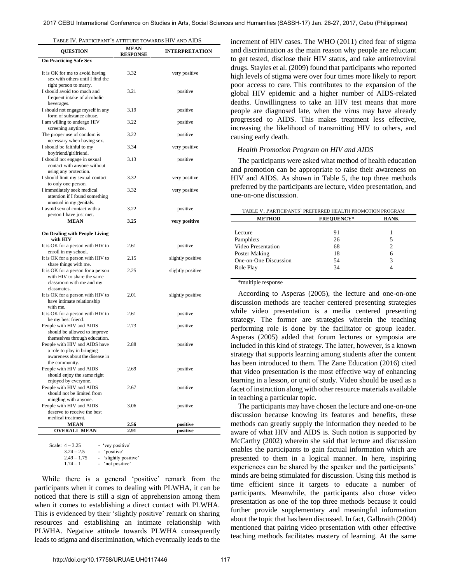| <b>QUESTION</b>                                                                                                 | <b>MEAN</b><br><b>RESPONSE</b> | <b>INTERPRETATION</b> |
|-----------------------------------------------------------------------------------------------------------------|--------------------------------|-----------------------|
| <b>On Practicing Safe Sex</b>                                                                                   |                                |                       |
| It is OK for me to avoid having<br>sex with others until I find the<br>right person to marry.                   | 3.32                           | very positive         |
| I should avoid too much and<br>frequent intake of alcoholic<br>beverages.                                       | 3.21                           | positive              |
| I should not engage myself in any<br>form of substance abuse.                                                   | 3.19                           | positive              |
| I am willing to undergo HIV<br>screening anytime.                                                               | 3.22                           | positive              |
| The proper use of condom is<br>necessary when having sex.                                                       | 3.22                           | positive              |
| I should be faithful to my<br>boyfriend/girlfriend.                                                             | 3.34                           | very positive         |
| I should not engage in sexual<br>contact with anyone without<br>using any protection.                           | 3.13                           | positive              |
| I should limit my sexual contact<br>to only one person.                                                         | 3.32                           | very positive         |
| I immediately seek medical<br>attention if I found something<br>unusual in my genitals.                         | 3.32                           | very positive         |
| I avoid sexual contact with a<br>person I have just met.                                                        | 3.22                           | positive              |
| <b>MEAN</b>                                                                                                     | 3.25                           | very positive         |
| <b>On Dealing with People Living</b><br>with HIV                                                                |                                |                       |
| It is OK for a person with HIV to<br>enroll in my school.                                                       | 2.61                           | positive              |
| It is OK for a person with HIV to<br>share things with me.                                                      | 2.15                           | slightly positive     |
| It is OK for a person for a person<br>with HIV to share the same<br>classroom with me and my<br>classmates.     | 2.25                           | slightly positive     |
| It is OK for a person with HIV to<br>have intimate relationship<br>with me.                                     | 2.01                           | slightly positive     |
| It is OK for a person with HIV to<br>be my best friend.                                                         | 2.61                           | positive              |
| People with HIV and AIDS<br>should be allowed to improve<br>themselves through education.                       | 2.73                           | positive              |
| People with HIV and AIDS have<br>a role to play in bringing<br>awareness about the disease in<br>the community. | 2.88                           | positive              |
| People with HIV and AIDS<br>should enjoy the same right<br>enjoyed by everyone.                                 | 2.69                           | positive              |
| People with HIV and AIDS<br>should not be limited from<br>mingling with anyone.                                 | 2.67                           | positive              |
| People with HIV and AIDS<br>deserve to receive the best<br>medical treatment.                                   | 3.06                           | positive              |
| <b>MEAN</b>                                                                                                     | 2.56                           | positive              |
| <b>OVERALL MEAN</b>                                                                                             | 2.91                           | positive              |

| Scale: $4 - 3.25$ | - 'vey positive'      |
|-------------------|-----------------------|
| $3.24 - 2.5$      | - 'positive'          |
| $2.49 - 1.75$     | - 'slightly positive' |
| $1.74 - 1$        | - 'not positive'      |

While there is a general 'positive' remark from the participants when it comes to dealing with PLWHA, it can be noticed that there is still a sign of apprehension among them when it comes to establishing a direct contact with PLWHA. This is evidenced by their 'slightly positive' remark on sharing resources and establishing an intimate relationship with PLWHA. Negative attitude towards PLWHA consequently leads to stigma and discrimination, which eventually leads to the increment of HIV cases. The WHO (2011) cited fear of stigma and discrimination as the main reason why people are reluctant to get tested, disclose their HIV status, and take antiretroviral drugs. Stayles et al. (2009) found that participants who reported high levels of stigma were over four times more likely to report poor access to care. This contributes to the expansion of the global HIV epidemic and a higher number of AIDS-related deaths. Unwillingness to take an HIV test means that more people are diagnosed late, when the virus may have already progressed to AIDS. This makes treatment less effective, increasing the likelihood of transmitting HIV to others, and causing early death.

# *Health Promotion Program on HIV and AIDS*

The participants were asked what method of health education and promotion can be appropriate to raise their awareness on HIV and AIDS. As shown in Table 5, the top three methods preferred by the participants are lecture, video presentation, and one-on-one discussion.

| TABLE V. PARTICIPANTS' PREFERRED HEALTH PROMOTION PROGRAM |                   |             |  |
|-----------------------------------------------------------|-------------------|-------------|--|
| <b>METHOD</b>                                             | <b>FREQUENCY*</b> | <b>RANK</b> |  |
|                                                           |                   |             |  |
| Lecture                                                   | 91                |             |  |
| Pamphlets                                                 | 26                | 5           |  |
| Video Presentation                                        | 68                | 2           |  |
| Poster Making                                             | 18                | 6           |  |
| One-on-One Discussion                                     | 54                | 3           |  |
| Role Play                                                 | 34                |             |  |
|                                                           |                   |             |  |

\*multiple response

According to Asperas (2005), the lecture and one-on-one discussion methods are teacher centered presenting strategies while video presentation is a media centered presenting strategy. The former are strategies wherein the teaching performing role is done by the facilitator or group leader. Asperas (2005) added that forum lectures or symposia are included in this kind of strategy. The latter, however, is a known strategy that supports learning among students after the content has been introduced to them. The Zane Education (2016) cited that video presentation is the most effective way of enhancing learning in a lesson, or unit of study. Video should be used as a facet of instruction along with other resource materials available in teaching a particular topic.

 The participants may have chosen the lecture and one-on-one discussion because knowing its features and benefits, these methods can greatly supply the information they needed to be aware of what HIV and AIDS is. Such notion is supported by McCarthy (2002) wherein she said that lecture and discussion enables the participants to gain factual information which are presented to them in a logical manner. In here, inspiring experiences can be shared by the speaker and the participants' minds are being stimulated for discussion. Using this method is time efficient since it targets to educate a number of participants. Meanwhile, the participants also chose video presentation as one of the top three methods because it could further provide supplementary and meaningful information about the topic that has been discussed. In fact, Galbraith (2004) mentioned that pairing video presentation with other effective teaching methods facilitates mastery of learning. At the same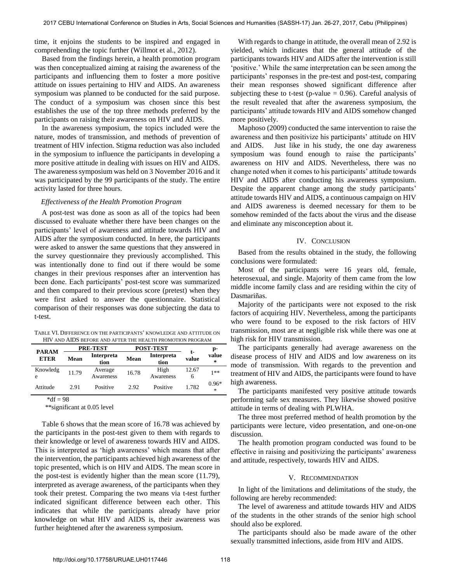time, it enjoins the students to be inspired and engaged in comprehending the topic further (Willmot et al., 2012).

Based from the findings herein, a health promotion program was then conceptualized aiming at raising the awareness of the participants and influencing them to foster a more positive attitude on issues pertaining to HIV and AIDS. An awareness symposium was planned to be conducted for the said purpose. The conduct of a symposium was chosen since this best establishes the use of the top three methods preferred by the participants on raising their awareness on HIV and AIDS.

 In the awareness symposium, the topics included were the nature, modes of transmission, and methods of prevention of treatment of HIV infection. Stigma reduction was also included in the symposium to influence the participants in developing a more positive attitude in dealing with issues on HIV and AIDS. The awareness symposium was held on 3 November 2016 and it was participated by the 99 participants of the study. The entire activity lasted for three hours.

# *Effectiveness of the Health Promotion Program*

 A post-test was done as soon as all of the topics had been discussed to evaluate whether there have been changes on the participants' level of awareness and attitude towards HIV and AIDS after the symposium conducted. In here, the participants were asked to answer the same questions that they answered in the survey questionnaire they previously accomplished. This was intentionally done to find out if there would be some changes in their previous responses after an intervention has been done. Each participants' post-test score was summarized and then compared to their previous score (pretest) when they were first asked to answer the questionnaire. Statistical comparison of their responses was done subjecting the data to t-test.

TABLE VI. DIFFERENCE ON THE PARTICIPANTS' KNOWLEDGE AND ATTITUDE ON HIV AND AIDS BEFORE AND AFTER THE HEALTH PROMOTION PROGRAM

| <b>PARAM</b><br><b>ETER</b> | <b>PRE-TEST</b> |                           | <b>POST-TEST</b> |                           | t-         | p-                        |
|-----------------------------|-----------------|---------------------------|------------------|---------------------------|------------|---------------------------|
|                             | Mean            | <b>Interpreta</b><br>tion | Mean             | <b>Interpreta</b><br>tion | value      | value<br>$\ast$           |
| Knowledg<br>e               | 11.79           | Average<br>Awareness      | 16.78            | High<br>Awareness         | 12.67<br>6 | 1**                       |
| Attitude                    | 2.91            | Positive                  | 2.92             | Positive                  | 1.782      | $0.96*$<br>$\frac{1}{26}$ |

 $*df = 98$ 

\*\*significant at 0.05 level

 Table 6 shows that the mean score of 16.78 was achieved by the participants in the post-test given to them with regards to their knowledge or level of awareness towards HIV and AIDS. This is interpreted as 'high awareness' which means that after the intervention, the participants achieved high awareness of the topic presented, which is on HIV and AIDS. The mean score in the post-test is evidently higher than the mean score (11.79), interpreted as average awareness, of the participants when they took their pretest. Comparing the two means via t-test further indicated significant difference between each other. This indicates that while the participants already have prior knowledge on what HIV and AIDS is, their awareness was further heightened after the awareness symposium.

 With regards to change in attitude, the overall mean of 2.92 is yielded, which indicates that the general attitude of the participants towards HIV and AIDS after the intervention is still 'positive.' While the same interpretation can be seen among the participants' responses in the pre-test and post-test, comparing their mean responses showed significant difference after subjecting these to t-test (p-value  $= 0.96$ ). Careful analysis of the result revealed that after the awareness symposium, the participants' attitude towards HIV and AIDS somehow changed more positively.

 Maphoso (2009) conducted the same intervention to raise the awareness and then positivize his participants' attitude on HIV and AIDS. Just like in his study, the one day awareness symposium was found enough to raise the participants' awareness on HIV and AIDS. Nevertheless, there was no change noted when it comes to his participants' attitude towards HIV and AIDS after conducting his awareness symposium. Despite the apparent change among the study participants' attitude towards HIV and AIDS, a continuous campaign on HIV and AIDS awareness is deemed necessary for them to be somehow reminded of the facts about the virus and the disease and eliminate any misconception about it.

### IV. CONCLUSION

Based from the results obtained in the study, the following conclusions were formulated:

 Most of the participants were 16 years old, female, heterosexual, and single. Majority of them came from the low middle income family class and are residing within the city of Dasmariñas.

 Majority of the participants were not exposed to the risk factors of acquiring HIV. Nevertheless, among the participants who were found to be exposed to the risk factors of HIV transmission, most are at negligible risk while there was one at high risk for HIV transmission.

 The participants generally had average awareness on the disease process of HIV and AIDS and low awareness on its mode of transmission. With regards to the prevention and treatment of HIV and AIDS, the participants were found to have high awareness.

 The participants manifested very positive attitude towards performing safe sex measures. They likewise showed positive attitude in terms of dealing with PLWHA.

 The three most preferred method of health promotion by the participants were lecture, video presentation, and one-on-one discussion.

 The health promotion program conducted was found to be effective in raising and positivizing the participants' awareness and attitude, respectively, towards HIV and AIDS.

### V. RECOMMENDATION

In light of the limitations and delimitations of the study, the following are hereby recommended:

The level of awareness and attitude towards HIV and AIDS of the students in the other strands of the senior high school should also be explored.

 The participants should also be made aware of the other sexually transmitted infections, aside from HIV and AIDS.